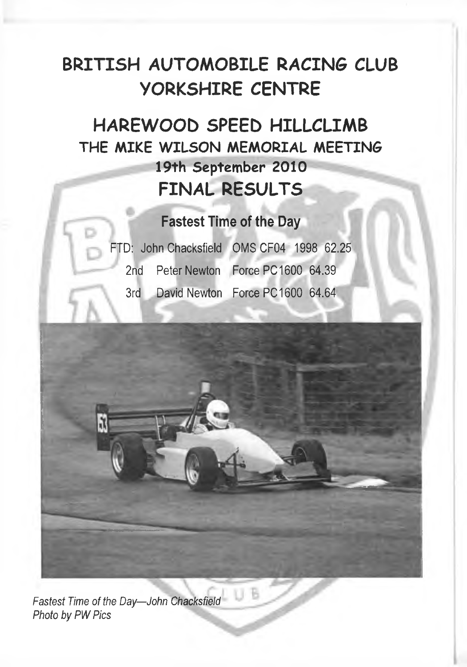## **BRITISH AUTOMOBILE RACING CLUB YORKSHIRE CENTRE**

### **HAREWOOD SPEED HILLCLIMB THE MIKE WILSON MEMORIAL MEETING 19th September 2010 FINAL RESULTS**

### **Fastest Time of the Day**

| FTD: John Chacksfield ON |  |
|--------------------------|--|
| 2nd Peter Newton For     |  |
| 3rd David Newton For     |  |

IS CF04 1998 62.25 rce PC 1600 64.39 rce PC 1600 64.64



*Fastest Time of the Day— John Chacksfield Photo by PW Pics*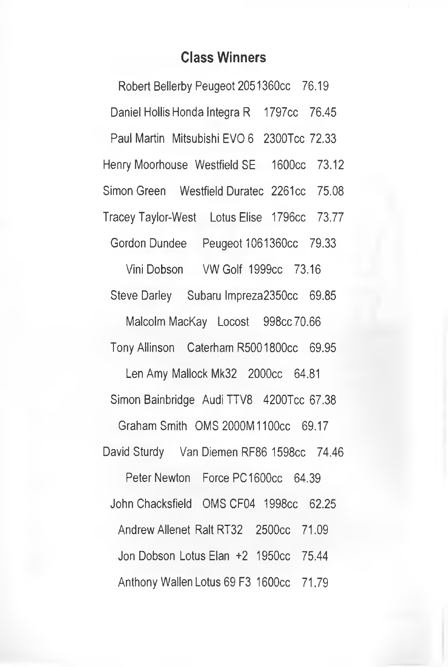#### **Class Winners**

Robert Bellerby Peugeot 2051360cc 76.19 Daniel Hollis Honda Integra R 1797cc 76.45 Paul Martin Mitsubishi EVO 6 2300Tcc 72.33 Henry Moorhouse Westfield SE 1600cc 73.12 Simon Green Westfield Duratec 2261cc 75.08 Tracey Taylor-West Lotus Elise 1796cc 73.77 Gordon Dundee Peugeot 1061360cc 79.33 Vini Dobson VW Golf 1999cc 73.16 Steve Darley Subaru Impreza2350cc 69.85 Malcolm MacKay Locost 998cc 70.66 TonyAllinson Caterham R5001800cc 69.95 Len Amy Mallock Mk32 2000cc 64.81 Simon Bainbridge Audi TTV8 4200Tcc 67.38 Graham Smith QMS 2000M1100cc 69.17 David Sturdy Van Diemen RF86 1598cc 74.46 Peter Newton Force PC 1600cc 64.39 John Chacksfield OMS CF04 1998cc 62.25 Andrew Allenet Ralt RT32 2500cc 71.09 Jon Dobson Lotus Elan +2 1950cc 75.44 Anthony Wallen Lotus 69 F3 1600cc 71.79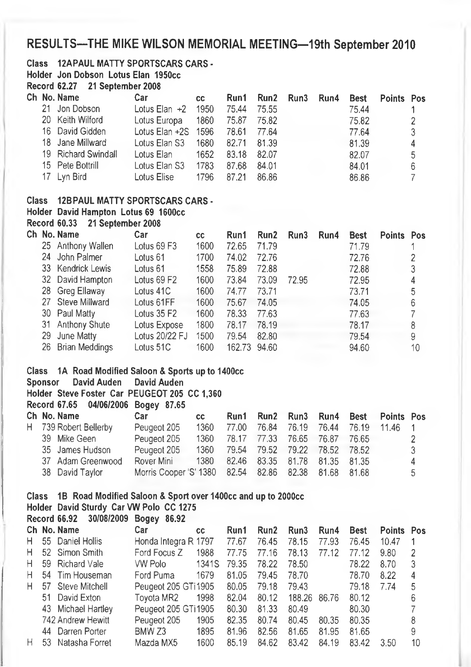#### **RESULTS-THE MIKE WILSON MEMORIAL MEETING-19th September 2010**

#### **Class 12APAUL MATTY SPORTSCARS CARS -**

**Holder Jon Dobson Lotus Elan 1950cc**

**Record 62.27 21 September 2008**

|  | Ch No. Name         | Car                   | CC.  | Run1        | Run2  | Run3 | Run4 | <b>Best</b> | Points Pos |   |
|--|---------------------|-----------------------|------|-------------|-------|------|------|-------------|------------|---|
|  | 21 Jon Dobson       | Lotus Elan $+2$       | 1950 | 75.44       | 75.55 |      |      | 75.44       |            |   |
|  | 20 Keith Wilford    | Lotus Europa          | 1860 | 75.87 75.82 |       |      |      | 75.82       |            |   |
|  | 16 David Gidden     | Lotus Elan $+2S$ 1596 |      | 78.61 77.64 |       |      |      | 77.64       |            |   |
|  | 18 Jane Millward    | Lotus Elan S3         | 1680 | 82.71       | 81.39 |      |      | 81.39       |            | 4 |
|  | 19 Richard Swindall | Lotus Elan            | 1652 | 83.18       | 82.07 |      |      | 82.07       |            | 5 |
|  | 15 Pete Bottrill    | Lotus Elan S3         | 1783 | 87.68       | 84.01 |      |      | 84.01       |            | 6 |
|  | 17 Lyn Bird         | Lotus Elise           | 1796 | 87.21       | 86.86 |      |      | 86.86       |            |   |
|  |                     |                       |      |             |       |      |      |             |            |   |

#### **Class 12BPAUL MATTY SPORTSCARS CARS -**

#### **Holder David Hampton Lotus 69 1600cc**

**Record 60.33 21 September 2008**

|  | Ch No. Name       | Car                       | CС   | Run1   | Run2  | Run3  | Run4 | <b>Best</b> | <b>Points</b> | Pos |
|--|-------------------|---------------------------|------|--------|-------|-------|------|-------------|---------------|-----|
|  | 25 Anthony Wallen | Lotus 69 F3               | 1600 | 72.65  | 71.79 |       |      | 71.79       |               |     |
|  | 24 John Palmer    | Lotus 61                  | 1700 | 74.02  | 72.76 |       |      | 72.76       |               |     |
|  | 33 Kendrick Lewis | Lotus 61                  | 1558 | 75.89  | 72.88 |       |      | 72.88       |               | 3   |
|  | 32 David Hampton  | Lotus 69 F2               | 1600 | 73.84  | 73.09 | 72.95 |      | 72.95       |               | 4   |
|  | 28 Greg Ellaway   | Lotus 41C                 | 1600 | 74.77  | 73.71 |       |      | 73.71       |               | 5   |
|  | 27 Steve Millward | Lotus 61FF                | 1600 | 75.67  | 74.05 |       |      | 74.05       |               | 6   |
|  | 30 Paul Matty     | Lotus $35$ F <sub>2</sub> | 1600 | 78.33  | 77.63 |       |      | 77.63       |               |     |
|  | 31 Anthony Shute  | Lotus Expose              | 1800 | 78.17  | 78.19 |       |      | 78.17       |               | 8   |
|  | 29 June Matty     | Lotus 20/22 FJ            | 1500 | 79.54  | 82.80 |       |      | 79.54       |               | 9   |
|  | 26 Brian Meddings | Lotus 51C                 | 1600 | 162.73 | 94.60 |       |      | 94.60       |               | 10  |

#### **Class 1A Road Modified Saloon & Sports up to 1400cc**

**Sponsor David Auden David Auden Holder Steve Foster Car PEUGEOT 205 CC 1,360**

**Record 67.65 04/06/2006 Bogey 87.65**

| Ch No. Name           | Car                                                  | cc.  |                                    |  |  | Run1 Run2 Run3 Run4 Best Points Pos   |    |
|-----------------------|------------------------------------------------------|------|------------------------------------|--|--|---------------------------------------|----|
| H 739 Robert Bellerby | Peugeot 205                                          | 1360 |                                    |  |  | 77.00 76.84 76.19 76.44 76.19 11.46 1 |    |
| 39 Mike Geen          | Peugeot 205                                          |      | 1360 78.17 77.33 76.65 76.87 76.65 |  |  |                                       |    |
| 35 James Hudson       | Peugeot 205                                          | 1360 | 79.54 79.52 79.22 78.52 78.52      |  |  |                                       | -3 |
| 37 Adam Greenwood     | Rover Mini                                           | 1380 | 82.46 83.35 81.78 81.35 81.35      |  |  |                                       | 4  |
| 38 David Taylor       | Morris Cooper 'S' 1380 82.54 82.86 82.38 81.68 81.68 |      |                                    |  |  |                                       | 5  |
|                       |                                                      |      |                                    |  |  |                                       |    |

#### **Class IB Road Modified Saloon & Sport over 1400cc and up to 2000CC**

|    | Class TB Road Modified Saloon & Sport over 1400cc and up to 2000cc |                      |       |       |       |                  |       |       |        |     |
|----|--------------------------------------------------------------------|----------------------|-------|-------|-------|------------------|-------|-------|--------|-----|
|    | Holder David Sturdy Car VW Polo CC 1275                            |                      |       |       |       |                  |       |       |        |     |
|    | Record 66.92 30/08/2009 Bogey 86.92                                |                      |       |       |       |                  |       |       |        |     |
|    | Ch No. Name                                                        | Car                  | CC.   | Run1  | Run2  | Run <sub>3</sub> | Run4  | Best  | Points | Pos |
| H. | 55 Daniel Hollis                                                   | Honda Integra R 1797 |       | 77.67 | 76.45 | 78.15            | 77.93 | 76.45 | 10.47  |     |
| H. | 52 Simon Smith                                                     | Ford Focus Z         | 1988  | 77.75 | 77.16 | 78.13            | 77.12 | 77.12 | 9.80   | 2   |
| H. | 59 Richard Vale                                                    | VW Polo              | 1341S | 79.35 | 78.22 | 78.50            |       | 78.22 | 8.70   | 3   |
| Н. | 54 Tim Houseman                                                    | Ford Puma            | 1679  | 81.05 | 79.45 | 78.70            |       | 78.70 | 8.22   | 4   |
| H  | 57 Steve Mitchell                                                  | Peugeot 205 GTi1905  |       | 80.05 | 79.18 | 79.43            |       | 79.18 | 7.74   | 5   |
|    | 51 David Exton                                                     | Toyota MR2           | 1998  | 82.04 | 80.12 | 188.26           | 86.76 | 80.12 |        | 6   |
|    | 43 Michael Hartley                                                 | Peugeot 205 GTi1905  |       | 80.30 | 81.33 | 80.49            |       | 80.30 |        |     |
|    | 742 Andrew Hewitt                                                  | Peugeot 205          | 1905  | 82.35 | 80.74 | 80.45            | 80.35 | 80.35 |        | 8   |
|    | 44 Darren Porter                                                   | BMW <sub>Z3</sub>    | 1895  | 81.96 | 82.56 | 81.65            | 81.95 | 81.65 |        | 9   |
| н  | 53 Natasha Forret                                                  | Mazda MX5            | 1600  | 85.19 | 84.62 | 83.42            | 84.19 | 83.42 | 3.50   | 10  |
|    |                                                                    |                      |       |       |       |                  |       |       |        |     |
|    |                                                                    |                      |       |       |       |                  |       |       |        |     |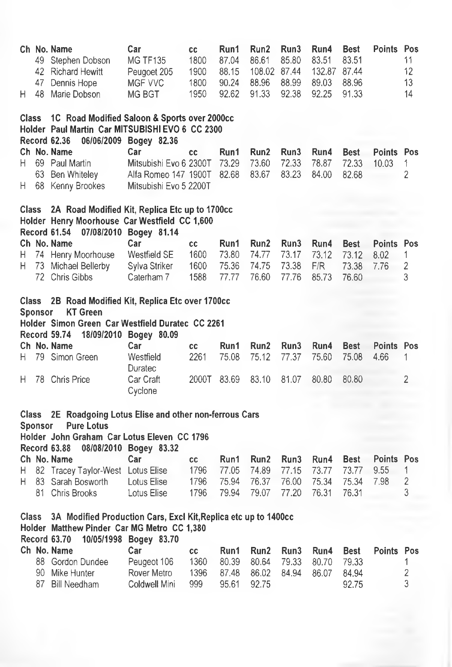| H.           | 47<br>48       | Ch No. Name<br>49 Stephen Dobson<br>42 Richard Hewitt<br>Dennis Hope<br>Marie Dobson                                                        | Car<br><b>MG TF135</b><br>Peugoet 205<br>MGF VVC<br>MG BGT                      | cc<br>1800<br>1900<br>1800<br>1950 | Run1<br>87.04<br>88.15<br>90.24<br>92.62 | Run2<br>86.61<br>108.02 87.44<br>88.96<br>91.33 | Run3<br>85.80<br>88.99<br>92.38 | Run4<br>83.51<br>132.87 87.44<br>89.03<br>92.25 | <b>Best</b><br>83.51<br>88.96<br>91.33 | Points Pos                 | 11<br>12<br>13<br>14 |
|--------------|----------------|---------------------------------------------------------------------------------------------------------------------------------------------|---------------------------------------------------------------------------------|------------------------------------|------------------------------------------|-------------------------------------------------|---------------------------------|-------------------------------------------------|----------------------------------------|----------------------------|----------------------|
| <b>Class</b> |                | 1C Road Modified Saloon & Sports over 2000cc<br>Holder Paul Martin Car MITSUBISHI EVO 6 CC 2300<br><b>Record 62.36</b>                      | 06/06/2009 Bogey 82.36                                                          |                                    |                                          |                                                 |                                 |                                                 |                                        |                            |                      |
| Н.<br>Н.     |                | Ch No. Name<br>69 Paul Martin<br>63 Ben Whiteley<br>68 Kenny Brookes                                                                        | Саг<br>Mitsubishi Evo 6 2300T<br>Alfa Romeo 147 1900T<br>Mitsubishi Evo 5 2200T | <b>CC</b>                          | Run1<br>73.29<br>82.68                   | Run <sub>2</sub><br>73.60<br>83.67              | Run3<br>72.33<br>83.23          | Run4<br>78.87<br>84.00                          | <b>Best</b><br>72.33<br>82.68          | Points Pos<br>10.03        | 1<br>$\overline{2}$  |
| <b>Class</b> |                | 2A Road Modified Kit, Replica Etc up to 1700cc<br>Holder Henry Moorhouse Car Westfield CC 1,600<br><b>Record 61.54</b>                      | 07/08/2010 Bogey 81.14                                                          |                                    |                                          |                                                 |                                 |                                                 |                                        |                            |                      |
| н<br>н       |                | Ch No. Name<br>74 Henry Moorhouse<br>73 Michael Bellerby<br>72 Chris Gibbs                                                                  | Car<br>Westfield SE<br>Sylva Striker<br>Caterham 7                              | CC<br>1600<br>1600<br>1588         | Run1<br>73.80<br>75.36<br>77.77          | Run2<br>74.77<br>74.75<br>76.60                 | Run3<br>73.17<br>73.38<br>77.76 | Run4<br>73.12<br>F/R<br>85.73                   | <b>Best</b><br>73.12<br>73.38<br>76.60 | Points Pos<br>8.02<br>7.76 | 1<br>2<br>3          |
| <b>Class</b> | <b>Sponsor</b> | 2B Road Modified Kit, Replica Etc over 1700cc<br><b>KT Green</b><br>Holder Simon Green Car Westfield Duratec CC 2261<br><b>Record 59.74</b> | 18/09/2010 Bogey 80.09                                                          |                                    |                                          |                                                 |                                 |                                                 |                                        |                            |                      |
| н            |                | Ch No. Name<br>79 Simon Green                                                                                                               | Car<br>Westfield<br>Duratec                                                     | cc<br>2261                         | Run1<br>75.08                            | Run2<br>75.12                                   | Run3<br>77.37                   | Run4<br>75.60                                   | Best<br>75.08                          | Points Pos<br>4.66         | 1                    |
| н            |                | 78 Chris Price                                                                                                                              | Car Craft<br>Cyclone                                                            | 2000T                              | 83.69                                    | 83.10                                           | 81.07                           | 80.80                                           | 80.80                                  |                            | $\overline{2}$       |
|              | <b>Sponsor</b> | Class 2E Roadgoing Lotus Elise and other non-ferrous Cars<br><b>Pure Lotus</b>                                                              |                                                                                 |                                    |                                          |                                                 |                                 |                                                 |                                        |                            |                      |
|              |                | Holder John Graham Car Lotus Eleven CC 1796<br><b>Record 63.88</b>                                                                          | 08/08/2010 Bogey 83.32                                                          |                                    |                                          |                                                 |                                 |                                                 |                                        |                            |                      |
|              |                | Ch No. Name                                                                                                                                 | Car                                                                             | cc                                 | Run1                                     | Run <sub>2</sub>                                | Run3                            | Run4                                            | <b>Best</b>                            | Points Pos                 |                      |
| н<br>н       |                | 82 Tracey Taylor-West Lotus Elise<br>83 Sarah Bosworth                                                                                      | Lotus Elise                                                                     | 1796<br>1796                       | 77.05<br>75.94                           | 74.89<br>76.37                                  | 77.15<br>76.00                  | 73.77<br>75.34                                  | 73.77<br>75.34                         | 9.55<br>7.98               | 1<br>2               |
|              |                | 81 Chris Brooks                                                                                                                             | Lotus Elise                                                                     | 1796                               | 79.94                                    | 79.07                                           | 77.20                           | 76.31                                           | 76.31                                  |                            | 3                    |
| <b>Class</b> |                | 3A Modified Production Cars, Excl Kit, Replica etc up to 1400cc<br>Holder Matthew Pinder Car MG Metro CC 1,380<br><b>Record 63.70</b>       | 10/05/1998 Bogey 83.70                                                          |                                    |                                          |                                                 |                                 |                                                 |                                        |                            |                      |
|              |                | Ch No. Name                                                                                                                                 | Car                                                                             | cc                                 | Run1                                     | Run2                                            | Run3                            | Run4                                            | <b>Best</b>                            | <b>Points Pos</b>          |                      |
|              |                | 88 Gordon Dundee                                                                                                                            | Peugeot 106                                                                     | 1360                               | 80.39                                    | 80.64                                           | 79.33                           | 80.70                                           | 79.33                                  |                            | 1                    |
|              | 87             | 90 Mike Hunter<br><b>Bill Needham</b>                                                                                                       | Rover Metro<br>Coldwell Mini                                                    | 1396<br>999                        | 87,48<br>95.61                           | 86.02<br>92.75                                  | 84.94                           | 86.07                                           | 84.94<br>92.75                         |                            | $\overline{c}$<br>3  |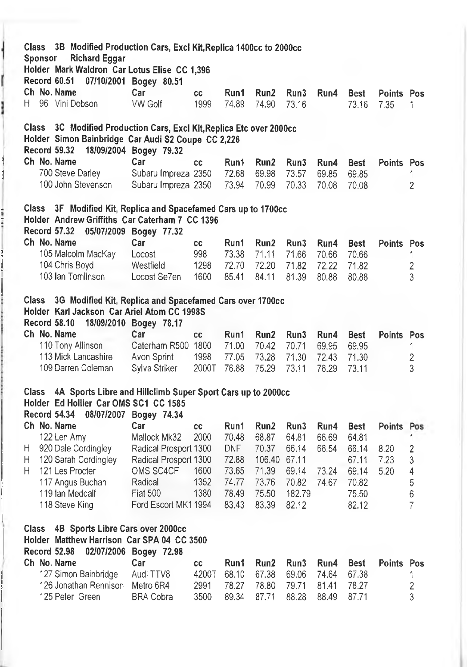| <b>Record 60.51</b> | Ch No. Name                                                                                                 | 07/10/2001 Bogey 80.51<br>Car              |            |                |                  |                |                |                      |                    |
|---------------------|-------------------------------------------------------------------------------------------------------------|--------------------------------------------|------------|----------------|------------------|----------------|----------------|----------------------|--------------------|
| Η.                  | 96 Vini Dobson                                                                                              | <b>VW Golf</b>                             | cc<br>1999 | Run1<br>74.89  | Run2<br>74.90    | Run3<br>73.16  | Run4           | <b>Best</b><br>73.16 | Points Pos<br>7.35 |
| <b>Class</b>        | 3C Modified Production Cars, Excl Kit, Replica Etc over 2000cc                                              |                                            |            |                |                  |                |                |                      |                    |
|                     | Holder Simon Bainbridge Car Audi S2 Coupe CC 2,226                                                          |                                            |            |                |                  |                |                |                      |                    |
| Record 59.32        |                                                                                                             | 18/09/2004 Bogey 79.32                     |            |                |                  |                |                |                      |                    |
|                     | Ch No. Name                                                                                                 | Car                                        | cc         | Run1           | Run <sub>2</sub> | Run3           | Run4           | <b>Best</b>          | Points Pos         |
|                     | 700 Steve Darley<br>100 John Stevenson                                                                      | Subaru Impreza 2350<br>Subaru Impreza 2350 |            | 72.68<br>73.94 | 69.98<br>70.99   | 73.57<br>70.33 | 69.85<br>70.08 | 69.85<br>70.08       |                    |
|                     |                                                                                                             |                                            |            |                |                  |                |                |                      |                    |
| Class               | 3F Modified Kit, Replica and Spacefamed Cars up to 1700cc<br>Holder Andrew Griffiths Car Caterham 7 CC 1396 |                                            |            |                |                  |                |                |                      |                    |
|                     | <b>Record 57.32</b>                                                                                         | 05/07/2009 Bogey 77.32                     |            |                |                  |                |                |                      |                    |
|                     | Ch No. Name                                                                                                 | Car                                        | cc         | Run1           | Run <sub>2</sub> | Run3           | Run4           | <b>Best</b>          | Points Pos         |
|                     | 105 Malcolm MacKay                                                                                          | Locost                                     | 998        | 73.38          | 71.11            | 71.66          | 70.66          | 70.66                |                    |
|                     | 104 Chris Boyd                                                                                              | Westfield                                  | 1298       | 72.70          | 72.20            | 71.82          | 72.22          | 71.82                |                    |
|                     | 103 Ian Tomlinson                                                                                           | Locost Se7en                               | 1600       | 85.41          | 84.11            | 81.39          | 80.88          | 80.88                |                    |
|                     |                                                                                                             |                                            |            |                |                  |                |                |                      |                    |
| <b>Class</b>        | 3G Modified Kit, Replica and Spacefamed Cars over 1700cc                                                    |                                            |            |                |                  |                |                |                      |                    |
|                     |                                                                                                             |                                            |            |                |                  |                |                |                      |                    |
|                     | Holder Karl Jackson Car Ariel Atom CC 1998S                                                                 |                                            |            |                |                  |                |                |                      |                    |
| <b>Record 58.10</b> |                                                                                                             | 18/09/2010 Bogey 78.17                     |            |                |                  |                |                |                      |                    |
|                     | Ch No. Name                                                                                                 | Car                                        | <b>CC</b>  | Run1           | Run <sub>2</sub> | Run3           | Run4           | <b>Best</b>          | Points Pos         |
|                     | 110 Tony Allinson                                                                                           | Caterham R500 1800                         |            | 71.00          | 70.42            | 70.71          | 69.95          | 69.95                |                    |
|                     | 113 Mick Lancashire                                                                                         | Avon Sprint                                | 1998       | 77.05          | 73.28            | 71.30          | 72.43          | 71.30                |                    |
|                     | 109 Darren Coleman                                                                                          | Sylva Striker                              | 2000T      | 76.88          | 75.29            | 73.11          | 76.29          | 73.11                |                    |
| Class               | 4A Sports Libre and Hillclimb Super Sport Cars up to 2000cc                                                 |                                            |            |                |                  |                |                |                      |                    |
|                     | Holder Ed Hollier Car OMS SC1 CC 1585                                                                       |                                            |            |                |                  |                |                |                      |                    |
| Record 54.34        |                                                                                                             | 08/07/2007 Bogey 74.34                     |            |                |                  |                |                |                      |                    |
|                     | Ch No. Name                                                                                                 | Car                                        | cc         | Run1           | Run2             | Run3           | Run4           | <b>Best</b>          | Points Pos         |
|                     | 122 Len Amy                                                                                                 | Mallock Mk32                               | 2000       | 70.48          | 68.87            | 64.81          | 66.69          | 64.81                |                    |
| Н                   | 920 Dale Cordingley                                                                                         | Radical Prosport 1300                      |            | <b>DNF</b>     | 70.37            | 66.14          | 66.54          | 66.14                | 8.20               |
| H                   | 120 Sarah Cordingley                                                                                        | Radical Prosport 1300                      |            | 72.88          | 106.40 67.11     |                |                | 67.11                | 7.23               |
| Н                   | 121 Les Procter                                                                                             | OMS SC4CF                                  | 1600       | 73.65          | 71.39            | 69.14          | 73.24          | 69.14                | 5.20               |
|                     | 117 Angus Buchan                                                                                            | Radical                                    | 1352       | 74.77          | 73.76            | 70.82          | 74.67          | 70.82                |                    |
|                     | 119 Ian Medcalf                                                                                             | Fiat 500                                   | 1380       | 78.49          | 75.50            | 182.79         |                | 75.50                |                    |
|                     | 118 Steve King                                                                                              | Ford Escort MK11994                        |            | 83.43          | 83.39            | 82.12          |                | 82.12                |                    |
|                     |                                                                                                             |                                            |            |                |                  |                |                |                      |                    |
| <b>Class</b>        | 4B Sports Libre Cars over 2000cc                                                                            |                                            |            |                |                  |                |                |                      |                    |
| <b>Record 52.98</b> | Holder Matthew Harrison Car SPA 04 CC 3500                                                                  |                                            |            |                |                  |                |                |                      |                    |
|                     | Ch No. Name                                                                                                 | 02/07/2006 Bogey 72.98<br>Car              | cc         | Run1           | Run2             | Run3           | Run4           | <b>Best</b>          | Points Pos         |
|                     | 127 Simon Bainbridge                                                                                        | Audi TTV8                                  | 4200T      | 68.10          | 67.38            | 69.06          | 74.64          | 67.38                |                    |
|                     | 126 Jonathan Rennison                                                                                       | Metro 6R4                                  | 2991       | 78.27          | 78.80            | 79.71          | 81.41          | 78.27                |                    |

 $\overline{\mathcal{C}}$ 

ľ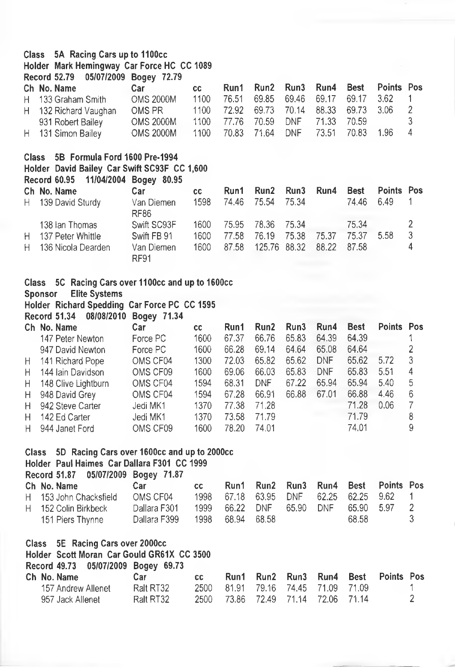#### **Class 5A Racing Cars up to 1100cc**

#### **Holder Mark Hemingway Car Force HC CC 1089**

**Record 52.79 05/07/2009 Bogey 72.79**

| Ch No. Name           | Car —            | CC.  | Run1 Run2 Run3 Run4 Best Points Pos     |  |  |     |
|-----------------------|------------------|------|-----------------------------------------|--|--|-----|
| H 133 Graham Smith    | <b>OMS 2000M</b> | 1100 | 76.51 69.85 69.46 69.17 69.17 3.62      |  |  |     |
| H 132 Richard Vaughan | OMS PR           |      | 1100 72.92 69.73 70.14 88.33 69.73 3.06 |  |  | - 2 |
| 931 Robert Bailey     | <b>OMS 2000M</b> |      | 1100 77.76 70.59 DNF 71.33 70.59        |  |  |     |
| H 131 Simon Bailey    | <b>OMS 2000M</b> |      | 1100 70.83 71.64 DNF 73.51 70.83 1.96   |  |  |     |

#### **Class SB Formula Ford 1600 Pre-1994 Holder David Bailey Car Swift SC93F CC 1,600 Record 60.95 11/04/2004 Bogey 80.95**

|                | Car                                                                              | <b>CC</b>                          |  |                            | Run4                                |                         |                                |                        |
|----------------|----------------------------------------------------------------------------------|------------------------------------|--|----------------------------|-------------------------------------|-------------------------|--------------------------------|------------------------|
|                | Van Diemen<br>RF86                                                               | 1598                               |  |                            |                                     | 74.46                   | 6.49                           |                        |
| 138 Ian Thomas | Swift SC93F                                                                      | 1600                               |  |                            |                                     | 75.34                   |                                |                        |
|                | Swift FB 91                                                                      | 1600                               |  |                            |                                     | 75.37                   | -5.58                          | 3                      |
|                | Van Diemen<br><b>RF91</b>                                                        | 1600                               |  |                            |                                     |                         |                                | 4                      |
|                | Ch No. Name<br>H 139 David Sturdy<br>H 137 Peter Whittle<br>H 136 Nicola Dearden | Record 60.30 Financing Dodey 60.30 |  | 74.46 75.54<br>77.58 76.19 | 75.34<br>75.95 78.36 75.34<br>75.38 | Run1 Run2 Run3<br>75.37 | 87.58 125.76 88.32 88.22 87.58 | <b>Best</b> Points Pos |

#### **Class 5C Racing Cars over 11 OOcc and up to 1600CC**

**Sponsor Elite Systems**

**Holder Richard Spedding Car Force PC CC1595**

**Record 51.34 08/08/2010 Bogey 71.34**

|    | Ch No. Name           | Car      | CC.  | Run1  | Run <sub>2</sub> | Run3  | Run4       | <b>Best</b> | Points Pos |   |
|----|-----------------------|----------|------|-------|------------------|-------|------------|-------------|------------|---|
|    | 147 Peter Newton      | Force PC | 1600 | 67.37 | 66.76            | 65.83 | 64.39      | 64.39       |            |   |
|    | 947 David Newton      | Force PC | 1600 | 66.28 | 69.14            | 64.64 | 65.08      | 64.64       |            |   |
|    | H 141 Richard Pope    | OMS CF04 | 1300 | 72.03 | 65.82            | 65.62 | <b>DNF</b> | 65.62       | 5.72       | 3 |
| H. | 144 Iain Davidson     | OMS CF09 | 1600 | 69.06 | 66.03            | 65.83 | <b>DNF</b> | 65.83       | 5.51       | 4 |
|    | H 148 Clive Lightburn | OMS CF04 | 1594 | 68.31 | DNF              | 67.22 | 65.94      | 65.94       | 5.40       | 5 |
|    | H 948 David Grey      | OMS CF04 | 1594 | 67.28 | 66.91            | 66.88 | 67.01      | 66.88       | 4.46       | 6 |
|    | H 942 Steve Carter    | Jedi MK1 | 1370 | 77.38 | 71.28            |       |            | 71.28       | 0.06       |   |
| H. | 142 Ed Carter         | Jedi MK1 | 1370 | 73.58 | 71.79            |       |            | 71.79       |            | 8 |
|    | H 944 Janet Ford      | OMS CF09 | 1600 | 78.20 | 74.01            |       |            | 74.01       |            | 9 |

#### **Class 5D Racing Cars over 1600cc and up to 2000cc**

#### **Holder Paul Haimes Car Dallara F301 CC 1999**

| Record 51.87 05/07/2009 Bogey 71.87 |              |     |                  |                                       |  |       |       |
|-------------------------------------|--------------|-----|------------------|---------------------------------------|--|-------|-------|
| Ch No. Name                         | Car          | cc. |                  | Run1 Run2 Run3 Run4 Best Points Pos   |  |       |       |
| H 153 John Chacksfield              | OMS CF04     |     |                  | 1998 67.18 63.95 DNF 62.25 62.25 9.62 |  |       |       |
| H 152 Colin Birkbeck                | Dallara F301 |     |                  | 1999 66.22 DNF 65.90 DNF 65.90 5.97   |  |       | - 2   |
| 151 Piers Thynne                    | Dallara F399 |     | 1998 68.94 68.58 |                                       |  | 68.58 | - 3 - |

#### **Class 5E Racing Cars over 2000cc**

**Holder Scott Moran Car Gould GR61X CC 3500**

**Record 49.73 05/07/2009 Bogey 69.73**

| Ch No. Name        | Car       | CC. |                                    |  |  | Run1 Run2 Run3 Run4 Best Points Pos |  |
|--------------------|-----------|-----|------------------------------------|--|--|-------------------------------------|--|
| 157 Andrew Allenet | Ralt RT32 |     | 2500 81.91 79.16 74.45 71.09 71.09 |  |  |                                     |  |
| 957 Jack Allenet   | Ralt RT32 |     | 2500 73.86 72.49 71.14 72.06 71.14 |  |  |                                     |  |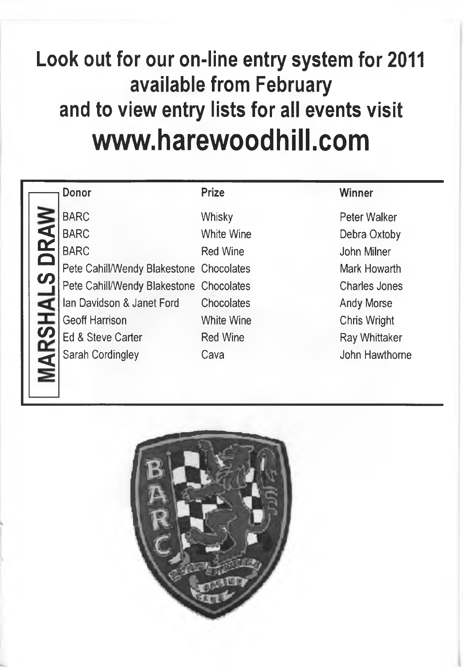## **Look out for our on-line entry system for 2011 available from February and to view entry lists for all events visit [www.harewoodhill.com](http://www.harewoodhill.com)**

## **Donor Prize Winner**

BARC White Wine Debra Oxtoby BARC Red Wine John Milner Pete Cahill/Wendy Blakestone Chocolates Mark Howarth Pete Cahill/Wendy Blakestone Chocolates Charles Jones Ian Davidson & Janet Ford Chocolates Chosen Andy Morse Geoff Harrison **White Wine** Chris Wright Ed & Steve Carter **Red Wine** Red Wine Ray Whittaker Sarah Cordingley Cava Cava John Hawthorne

-<br>-<u>ц</u> Ļ,  $\mathbf v$ 

**CO**

-<br>-

BARC Whisky Whisky Peter Walker

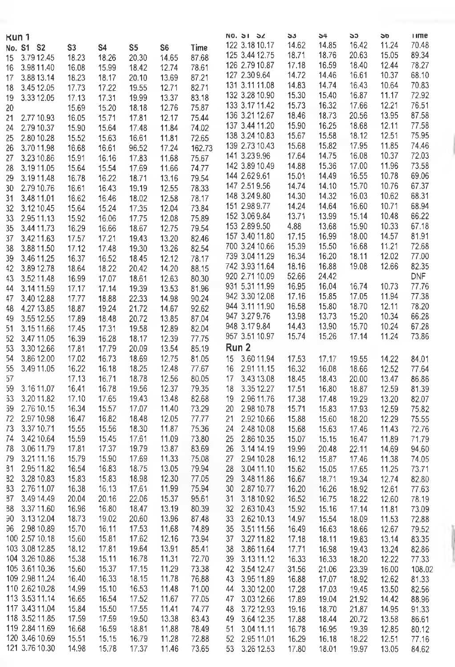|    |                |       |                |       |                |        | <b>NO. 31 34</b> | აა    | 54    | აუ    | 50    | <b>ume</b> |
|----|----------------|-------|----------------|-------|----------------|--------|------------------|-------|-------|-------|-------|------------|
|    | Kun 1          |       |                |       |                |        | 122 3.18 10.17   | 14.62 | 14.85 | 16.42 | 11.24 | 70.48      |
|    | No. S1 S2      | S3    | S <sub>4</sub> | S5    | S <sub>6</sub> | Time   | 125 3.44 12.75   | 18.71 | 18.76 | 20.63 | 15.05 | 89.34      |
| 15 | 3.79 12.45     | 18.23 | 18.26          | 20.30 | 14.65          | 87.68  |                  | 17.18 | 16.59 | 18.40 | 12.44 |            |
| 16 | 3.98 11.40     | 16.08 | 15.99          | 18.42 | 12.74          | 78.61  | 126 2.79 10.87   |       |       |       |       | 78.27      |
| 17 | 3.88 13.14     | 18.23 | 18.17          | 20.10 | 13.69          | 87.21  | 127 2.30 9.64    | 14.72 | 14.46 | 16.61 | 10.37 | 68.10      |
| 18 | 3.45 12.05     | 17.73 | 17.22          | 19.55 | 12.71          | 82.71  | 131 3.11 11.08   | 14.83 | 14.74 | 16.43 | 10.64 | 70.83      |
| 19 | 3.33 12.05     | 17.13 | 17.31          | 19.99 | 13.37          | 83.18  | 132 3.28 10.90   | 15.30 | 15.40 | 16.87 | 11.17 | 72.92      |
| 20 |                | 15.69 | 15.20          | 18.18 | 12.76          | 75.87  | 133 3.17 11.42   | 15.73 | 16.32 | 17.66 | 12.21 | 76.51      |
| 21 | 2.77 10.93     | 16.05 | 15.71          | 17.81 | 12.17          | 75.44  | 136 3.21 12.67   | 18.46 | 18.73 | 20.56 | 13.95 | 87.58      |
| 24 | 2.79 10.37     | 15.90 | 15.64          | 17.48 | 11.84          | 74.02  | 137 3.44 11.20   | 15.90 | 16.25 | 18.68 | 12.11 | 77.58      |
| 25 | 2.80 10.28     | 15.52 | 15.63          | 16.61 | 11.81          | 72.65  | 138 3.24 10.83   | 15.67 | 15.58 | 18.12 | 12.51 | 75.95      |
| 26 | 3.70 11.98     | 16.68 | 16.61          | 96.52 | 17.24          | 162.73 | 139 2.73 10.43   | 15.68 | 15.82 | 17.95 | 11.85 | 74.46      |
| 27 | 3.23 10.86     | 15.91 | 16.16          | 17.83 | 11.68          | 75.67  | 141 3.23 9.96    | 17.64 | 14.75 | 16.08 | 10.37 | 72.03      |
| 28 | 3.19 11.05     | 15.64 | 15.54          | 17.69 | 11.66          | 74.77  | 142 3.89 10.49   | 14.88 | 15.36 | 17.00 | 11.96 | 73.58      |
| 29 | 3.19 11.48     | 16.78 | 16.22          | 18.71 | 13.16          | 79.54  | 144 2.62 9.61    | 15.01 | 14.49 | 16.55 | 10.78 | 69.06      |
| 30 | 2.79 10.76     | 16.61 | 16.43          | 19.19 | 12.55          | 78.33  | 147 2.51 9.56    | 14.74 | 14.10 | 15.70 | 10.76 | 67.37      |
|    |                |       |                |       |                |        | 148 3.24 9.80    | 14.30 | 14.32 | 16.03 | 10.62 | 68.31      |
| 31 | 3.48 11.01     | 16.62 | 16.46          | 18.02 | 12.58          | 78.17  | 151 2.98 9.77    | 14.24 | 14.64 | 16.60 | 10.71 | 68.94      |
| 32 | 3.12 10.45     | 15.64 | 15.24          | 17.35 | 12.04          | 73.84  | 152 3.06 9.84    | 13.71 | 13.99 | 15.14 | 10.48 | 66.22      |
| 33 | 2.95 11.13     | 15.92 | 16.06          | 17.75 | 12.08          | 75.89  | 153 2.89 9.50    | 4.88  |       | 15.90 | 10.33 | 67.18      |
| 35 | 3.44 11.73     | 16.29 | 16.66          | 18.67 | 12.75          | 79.54  |                  |       | 13.68 |       |       |            |
| 37 | 3.42 11.63     | 17.57 | 17.21          | 19.43 | 13.20          | 82.46  | 157 3.40 11.80   | 17.15 | 16.99 | 18.00 | 14.57 | 81.91      |
| 38 | 3.88 11.50     | 17.12 | 17.48          | 19.30 | 13.26          | 82.54  | 700 3.24 10.66   | 15.39 | 15.50 | 16.68 | 11.21 | 72.68      |
| 39 | 3.46 11.25     | 16.37 | 16.52          | 18.45 | 12.12          | 78.17  | 739 3.04 11.29   | 16.34 | 16.20 | 18.11 | 12.02 | 77.00      |
| 42 | 3.89 12.78     | 18.64 | 18.22          | 20.42 | 14.20          | 88.15  | 742 3.93 11.64   | 18.16 | 16.88 | 19.08 | 12.66 | 82.35      |
| 43 | 3.52 11.48     | 16.99 | 17.07          | 18.61 | 12.63          | 80.30  | 920 2.71 10.09   | 52.66 | 24.42 |       |       | <b>DNF</b> |
| 44 | 3.14 11.59     | 17.17 | 17.14          | 19.39 | 13.53          | 81.96  | 931 5.31 11.99   | 16.95 | 16.04 | 16.74 | 10.73 | 77.76      |
| 47 | 3.40 12.88     | 17.77 | 18.88          | 22.33 | 14.98          | 90.24  | 942 3.30 12.08   | 17.16 | 15.85 | 17.05 | 11.94 | 77.38      |
| 48 | 4.27 13.85     | 18.87 | 19.24          | 21.72 | 14.67          | 92.62  | 944 3.11 11.90   | 16.58 | 15.80 | 18.70 | 12.11 | 78.20      |
| 49 | 3.55 12.55     | 17.89 | 18.48          | 20.72 | 13.85          | 87.04  | 947 3.27 9.76    | 13.98 | 13.73 | 15.20 | 10.34 | 66.28      |
| 51 | 3.15 11.66     | 17.45 | 17.31          | 19.58 | 12.89          | 82.04  | 948 3.179.84     | 14.43 | 13.90 | 15.70 | 10.24 | 67.28      |
| 52 | 3.47 11.05     | 16.39 | 16.28          | 18.17 | 12.39          | 77.75  | 957 3.51 10.97   | 15.74 | 15.26 | 17.14 | 11.24 | 73.86      |
| 53 | 3.30 12.66     | 17.81 | 17.79          | 20.09 | 13.54          | 85.19  | Run 2            |       |       |       |       |            |
| 54 | 3.86 12.00     | 17.02 | 16.73          | 18.69 | 12,75          | 81.05  | 3.60 11.94<br>15 | 17.53 | 17.17 | 19.55 | 14.22 | 84.01      |
| 55 |                | 16.22 |                |       |                |        | 2.91 11.15<br>16 |       |       |       |       |            |
|    | 3.49 11.05     |       | 16.18          | 18.25 | 12.48          | 77.67  |                  | 16.32 | 16.08 | 18.66 | 12.52 | 77.64      |
| 57 |                | 17.13 | 16.71          | 18.78 | 12.56          | 80.05  | 3.43 13.08<br>17 | 18.45 | 18.43 | 20.00 | 13.47 | 86.86      |
| 59 | 3.16 11.07     | 16.41 | 16.78          | 19.56 | 12.37          | 79.35  | 18<br>3.35 12.27 | 17.51 | 16.80 | 18.87 | 12.59 | 81.39      |
| 63 | 3.2011.82      | 17.10 | 17.65          | 19.43 | 13.48          | 82.68  | 2.96 11.76<br>19 | 17.38 | 17.48 | 19.29 | 13.20 | 82.07      |
| 66 | 2.76 10.15     | 16.34 | 15.57          | 17.07 | 11.40          | 73.29  | 20<br>2.98 10.78 | 15.71 | 15.83 | 17.93 | 12.59 | 75.82      |
| 72 | 2.9710.98      | 16.47 | 16.82          | 18.48 | 12.05          | 77.77  | 2.92 10.66<br>21 | 15.88 | 15.60 | 18.20 | 12.29 | 75.55      |
| 73 | 3.3710.71      | 15.55 | 15.56          | 18.30 | 11.87          | 75.36  | 24<br>2.48 10.08 | 15.68 | 15.63 | 17.46 | 11.43 | 72.76      |
| 74 | 3.42 10.64     | 15.59 | 15.45          | 17.61 | 11.09          | 73.80  | 25<br>2.86 10.35 | 15.07 | 15.15 | 16.47 | 11.89 | 71.79      |
| 78 | 3.06 11.79     | 17.81 | 17.37          | 19.79 | 13.87          | 83.69  | 26<br>3.14 14.19 | 19.99 | 20.48 | 22.11 | 14.69 | 94.60      |
| 79 | 3.21 11.16     | 15.79 | 15.90          | 17.69 | 11.33          | 75.08  | 27<br>2.94 10.28 | 16.12 | 15.87 | 17.46 | 11.38 | 74.05      |
| 31 | 2.95 11.82     | 16.54 | 16.83          | 18.75 | 13.05          | 79.94  | 28<br>3.04 11.10 | 15.62 | 15.05 | 17.65 | 11.25 | 73.71      |
| 32 | 3.28 10.83     | 15.83 | 15.83          | 18.98 | 12.30          | 77.05  | 3.48 11.86<br>29 | 16.67 | 18.71 | 19.34 | 12.74 | 82.80      |
| 33 | 2.76 11.07     | 16.38 | 16.13          | 17.61 | 11.99          | 75.94  | 2.87 10.77<br>30 | 16.20 | 16.26 | 18.92 | 12.61 | 77.63      |
| 87 | 3.49 14.49     | 20.04 | 20.16          | 22.06 | 15.37          | 95.61  | 31<br>3.1810.92  | 16.52 | 16.75 | 18.22 | 12.60 | 78.19      |
| 38 | 3.37 11.60     | 16.96 | 16.80          | 18.47 | 13.19          | 80.39  | 32<br>2.63 10.43 | 15.92 | 15.16 | 17.14 | 11.81 | 73.09      |
|    | 90 3.13 12.04  | 18.73 | 19.02          | 20.60 | 13.96          | 87.48  | 33<br>2.62 10.13 | 14.97 | 15.54 | 18.09 | 11.53 | 72.88      |
|    | 96 2.98 10.89  | 15.70 | 16.11          | 17.53 | 11.68          | 74.89  | 3.5111.56<br>35  | 16.49 | 16.63 | 18.66 | 12.67 | 79.52      |
|    | 100 2.57 10.18 | 15.60 | 15.81          | 17.62 | 12.16          | 73.94  | 3.2711.82<br>37  | 17.18 | 18.11 | 19.83 | 13.14 | 83.35      |
|    | 103 3.08 12.85 | 18.12 | 17.81          | 19.64 | 13.91          | 85.41  | 38<br>3.86 11.64 | 17.71 | 16.98 | 19.43 | 13.24 | 82.86      |
|    | 104 3.26 10.86 | 15.38 | 15.11          | 16.78 | 11.31          | 72.70  | 39<br>3.13 11.12 | 16.33 | 16.33 | 18.20 | 12.22 | 77.33      |
|    | 105 3.61 10.36 | 15.60 | 15.37          | 17.15 | 11.29          | 73.38  |                  |       |       |       |       |            |
|    |                |       |                |       |                |        | 42<br>3.54 12.47 | 31.56 | 21.06 | 23.39 | 16.00 | 108.02     |
|    | 109 2.98 11.24 | 16.40 | 16.33          | 18.15 | 11.78          | 76.88  | 43<br>3.95 11.89 | 16.88 | 17.07 | 18.92 | 12.62 | 81.33      |
|    | 110 2.62 10.28 | 14.99 | 15.10          | 16.53 | 11.48          | 71.00  | 3.30 12.00<br>44 | 17.28 | 17.03 | 19.45 | 13.50 | 82.56      |
|    | 113 3.53 11.14 | 16.65 | 16.54          | 17.52 | 11.67          | 77.05  | 3.03 12.66<br>47 | 17.89 | 19.04 | 21.92 | 14.42 | 88.96      |
|    | 117 3.43 11.04 | 15.84 | 15.50          | 17.55 | 11.41          | 74.77  | 3.72 12.93<br>48 | 19.16 | 18.70 | 21.87 | 14.95 | 91.33      |
|    | 118 3.52 11.85 | 17.59 | 17.59          | 19.50 | 13.38          | 83.43  | 49<br>3.64 12.35 | 17.88 | 18.44 | 20.72 | 13.58 | 86.61      |
|    | 119 2.84 11.69 | 16.68 | 16.59          | 18.81 | 11.88          | 78.49  | 3.04 11.11<br>51 | 16.78 | 16.95 | 19.39 | 12.85 | 80.12      |
|    | 120 3.46 10.69 | 15.51 | 15.15          | 16.79 | 11.28          | 72.88  | 52<br>2.95 11.01 | 16.29 | 16.18 | 18.22 | 12.51 | 77.16      |
|    | 121 3.76 10.30 | 14.98 | 15.78          | 17.37 | 11.46          | 73.65  | 53<br>3.26 12.53 | 17.80 | 18.01 | 19.97 | 13.05 | 84.62      |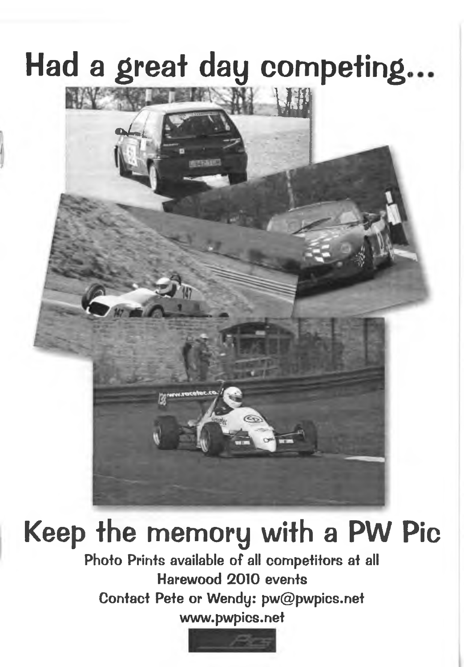## **Had a great day competing.**



## **Keep the memory with a PW Pic**

Photo Prints available of all competitors at all **Harewood 2010 events Contact Pete or Wendy: pw@pwpics.net [www.pwpics.net](http://www.pwpics.net)**

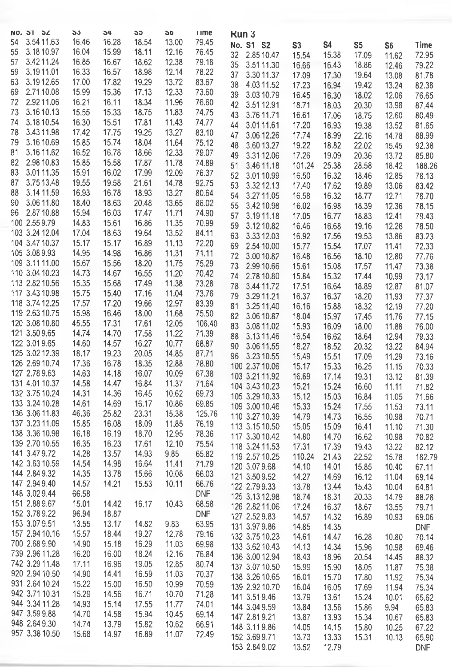| NO. 51 54                            | ১১             | 54             | აა             | 50             | <b>I</b> Ime   | <b>Kun3</b>                          |                |                |                |                |                |
|--------------------------------------|----------------|----------------|----------------|----------------|----------------|--------------------------------------|----------------|----------------|----------------|----------------|----------------|
| 3.54 11.63<br>54                     | 16.46          | 16.28          | 18.54          | 13.00          | 79.45          | No. S1 S2                            | S <sub>3</sub> | <b>S4</b>      | S <sub>5</sub> | S <sub>6</sub> | Time           |
| 3.18 10.97<br>55<br>57<br>3.4211.24  | 16.04<br>16.85 | 15.99<br>16.67 | 18.11<br>18.62 | 12.16<br>12.38 | 76.45<br>79.18 | 2.85 10.47<br>32                     | 15.54          | 15.38          | 17.09          | 11.62          | 72.95          |
| 59<br>3.1911.01                      | 16.33          | 16.57          | 18.98          | 12.14          | 78.22          | 35<br>3.51 11.30                     | 16.66          | 16.43          | 18.86          | 12.46          | 79.22          |
| 3.1912.65<br>63                      | 17.00          | 17.82          | 19.29          | 13.72          | 83.67          | 37<br>3.30 11.37                     | 17.09          | 17.30          | 19.64          | 13.08          | 81.78          |
| 69<br>2.7110.08                      | 15.99          | 15.36          | 17.13          | 12.33          | 73.60          | 38<br>4.03 11.52                     | 17.23          | 16.94          | 19.42          | 13.24          | 82.38          |
| 2.92 11.06<br>72                     | 16.21          | 16.11          | 18.34          | 11.96          | 76.60          | 39<br>3.03 10.79<br>42<br>3.51 12.91 | 16.45<br>18.71 | 16.30<br>18.03 | 18.02<br>20.30 | 12.06<br>13.98 | 76.65<br>87.44 |
| 3.16 10.13<br>73                     | 15.55          | 15.33          | 18.75          | 11.83          | 74.75          | 3.76 11.71<br>43                     | 16.61          | 17.06          | 18.75          | 12.60          | 80.49          |
| 3.18 10.54<br>74                     | 16.30          | 15.51          | 17.81          | 11.43          | 74.77          | 3.0111.61<br>44                      | 17.20          | 16.93          | 19.38          | 13.52          | 81.65          |
| 78<br>3.43 11.98                     | 17.42          | 17.75          | 19.25          | 13.27          | 83.10          | 47<br>3.06 12.26                     | 17.74          | 18.99          | 22.16          | 14.78          | 88.99          |
| 79<br>3.16 10.69                     | 15.85          | 15.74          | 18.04          | 11.64          | 75.12          | 48<br>3.60 13.27                     | 19.22          | 18.82          | 22.02          | 15.45          | 92.38          |
| 3.16 11.62<br>81                     | 16.52          | 16.78          | 18.66          | 12.33          | 79.07          | 49<br>3.31 12.06                     | 17.26          | 19.09          | 20.36          | 13.72          | 85.80          |
| 82<br>2.98 10.83                     | 15.85          | 15.58          | 17.87          | 11.78          | 74.89          | 51<br>3.46 11.18                     | 101.24         | 25.38          | 28.58          | 18.42          | 188.26         |
| 83<br>3.01 11.35<br>3.75 13.48<br>87 | 15.91<br>19.55 | 16.02<br>19.58 | 17.99<br>21.61 | 12.09<br>14.78 | 76.37<br>92.75 | 52<br>3.01 10.99                     | 16.50          | 16.32          | 18.46          | 12.85          | 78.13          |
| 88<br>3.14 11.59                     | 16.93          | 16.78          | 18.93          | 13.27          | 80.64          | 53<br>3.32 12.13                     | 17,40          | 17.62          | 19.89          | 13.06          | 83.42          |
| 3.06 11.80<br>90                     | 18.40          | 18.63          | 20.48          | 13.65          | 86.02          | 54<br>3.27 11.05                     | 16.58          | 16.32          | 18.77          | 12.71          | 78.70          |
| 2.87 10.88<br>96                     | 15.94          | 16.03          | 17.47          | 11.71          | 74.90          | 55<br>3.42 10.98<br>57<br>3.1911.18  | 16.02<br>17.05 | 16.98<br>16.77 | 18.39<br>18.83 | 12.36<br>12.41 | 78.15<br>79.43 |
| 100 2.55 9.79                        | 14.83          | 15.61          | 16.86          | 11.35          | 70.99          | 59<br>3.12 10.82                     | 16.46          | 16.68          | 19.16          | 12.26          | 78.50          |
| 103 3.24 12.04                       | 17.04          | 18.63          | 19.64          | 13.52          | 84.11          | 63<br>3.33 12.03                     | 16.92          | 17.56          | 19.53          | 13.86          | 83.23          |
| 104 3.47 10.37                       | 15.17          | 15.17          | 16.89          | 11.13          | 72.20          | 2.54 10.00<br>69                     | 15.77          | 15.54          | 17.07          | 11.41          | 72.33          |
| 105 3.08 9.93                        | 14.95          | 14.98          | 16.86          | 11.31          | 71.11          | 72<br>3.00 10.82                     | 16.48          | 16.56          | 18.10          | 12.80          | 77.76          |
| 109 3.11 11.00                       | 15.67          | 15.56          | 18.20          | 11.75          | 75.29          | 2.99 10.66<br>73                     | 15.61          | 15.08          | 17.57          | 11.47          | 73.38          |
| 110 3.04 10.23                       | 14.73          | 14.67          | 16.55          | 11.20          | 70.42          | 74<br>2.78 10.80                     | 15.84          | 15.32          | 17.44          | 10.99          | 73.17          |
| 113 2.82 10.56<br>117 3.43 10.98     | 15.35          | 15.68          | 17.49          | 11.38          | 73.28          | 78<br>3.44 11.72                     | 17.51          | 16.64          | 18.89          | 12.87          | 81.07          |
| 118 3.74 12.25                       | 15.75<br>17.57 | 15.40<br>17.20 | 17.16<br>19.66 | 11.04<br>12.97 | 73.76<br>83.39 | 79<br>3.29 11.21                     | 16.37          | 16.37          | 18.20          | 11.93          | 77.37          |
| 119 2.63 10.75                       | 15.98          | 16.46          | 18.00          | 11.68          | 75.50          | 3.25 11.40<br>81                     | 16.16          | 15.88          | 18.32          | 12.19          | 77.20          |
| 120 3.08 10.80                       | 45.55          | 17.31          | 17.61          | 12.05          | 106.40         | 82<br>3.06 10.87                     | 18.04          | 15.97          | 17.45          | 11.76          | 77.15          |
| 121 3.50 9.65                        | 14.74          | 14.70          | 17.58          | 11.22          | 71.39          | 83<br>3.08 11.02<br>88<br>3.1311.46  | 15.93<br>16.54 | 16.09<br>16.62 | 18.00<br>18.64 | 11.88<br>12.94 | 76.00<br>79.33 |
| 122 3.01 9.65                        | 14.60          | 14.57          | 16.27          | 10.77          | 68.87          | 90<br>3.06 11.55                     | 18.27          | 18.52          | 20.32          | 13.22          | 84.94          |
| 125 3.02 12.39                       | 18.17          | 19.23          | 20.05          | 14.85          | 87.71          | 3.23 10.55<br>96                     | 15.49          | 15.51          | 17.09          | 11.29          | 73.16          |
| 126 2.69 10.74                       | 17.36          | 16.78          | 18,35          | 12.88          | 78.80          | 100 2.37 10.06                       | 15.17          | 15.33          | 16.25          | 11.15          | 70.33          |
| 127 2.78 9.63                        | 14.63          | 14.18          | 16.07          | 10.09          | 67.38          | 103 3.21 11.92                       | 16.69          | 17.14          | 19.31          | 13.12          | 81.39          |
| 131 4.01 10.37                       | 14.58          | 14.47          | 16.84          | 11.37          | 71.64          | 104 3.43 10.23                       | 15.21          | 15.24          | 16.60          | 11.11          | 71.82          |
| 132 3.75 10.24<br>133 3.24 10.28     | 14.31<br>14.61 | 14.36<br>14.69 | 16.45<br>16.17 | 10.62<br>10.86 | 69.73<br>69.85 | 105 3.29 10.33                       | 15.12          | 15.03          | 16.84          | 11.05          | 71.66          |
| 136 3.06 11.83                       | 46.36          | 25.82          | 23.31          | 15.38          | 125.76         | 109 3.00 10.46                       | 15.33          | 15.24          | 17.55          | 11.53          | 73.11          |
| 137 3.23 11.09                       | 15.85          | 16.08          | 18.09          | 11.85          | 76.19          | 110 3.27 10.39                       | 14.79          | 14.73          | 16.55          | 10.98          | 70.71          |
| 138 3.36 10.98                       | 16.18          | 16.19          | 18.70          | 12.95          | 78.36          | 113 3.15 10.50<br>117 3.30 10.42     | 15.05<br>14.80 | 15.09<br>14.70 | 16.41<br>16.62 | 11.10          | 71.30<br>70.82 |
| 139 2.70 10.55                       | 16.35          | 16.23          | 17.61          | 12.10          | 75.54          | 118 3.24 11.53                       | 17.31          | 17.39          | 19.43          | 10.98<br>13.22 | 82.12          |
| 141 3.47 9.72                        | 14.28          | 13.57          | 14.93          | 9.85           | 65.82          | 119 2.57 10.25                       | 110.24         | 21.43          | 22.52          | 15.78          | 182.79         |
| 142 3.63 10.59                       | 14.54          | 14.98          | 16.64          | 11.41          | 71.79          | 120 3.07 9.68                        | 14.10          | 14.01          | 15.85          | 10.40          | 67.11          |
| 144 2.84 9.32                        | 14.35          | 13.78          | 15.66          | 10.08          | 66.03          | 121 3.50 9.52                        | 14.27          | 14.69          | 16.12          | 11.04          | 69.14          |
| 147 2.94 9.40                        | 14.57          | 14.21          | 15.53          | 10.11          | 66.76          | 122 2.79 9.33                        | 13.78          | 13.44          | 15.43          | 10.04          | 64.81          |
| 148 3.029.44                         | 66.58          |                |                |                | DNF            | 125 3.13 12.98                       | 18.74          | 18.31          | 20.33          | 14.79          | 88.28          |
| 151 2.88 9.67<br>152 3.78 9.22       | 15.01<br>96.94 | 14.42<br>18.87 | 16.17          | 10.43          | 68.58<br>DNF   | 126 2.82 11.06                       | 17.24          | 16.37          | 18.67          | 13.55          | 79.71          |
| 153 3.07 9.51                        | 13.55          | 13.17          | 14.82          | 9.83           | 63.95          | 127 2.52 9.83                        | 14.57          | 14.32          | 16.89          | 10.93          | 69.06          |
| 157 2.94 10.16                       | 15.57          | 18.44          | 19.27          | 12.78          | 79.16          | 131 3.97 9.86                        | 14.85          | 14.35          |                |                | <b>DNF</b>     |
| 700 2.68 9.90                        | 14.90          | 15.18          | 16.29          | 11.03          | 69.98          | 132 3.75 10.23<br>133 3.62 10.43     | 14.61<br>14.13 | 14.47<br>14.34 | 16.28<br>15.96 | 10.80<br>10.98 | 70.14<br>69.46 |
| 739 2.96 11.28                       | 16.20          | 16.00          | 18.24          | 12.16          | 76.84          | 136 3.00 12.94                       | 18.43          | 18.96          | 20.54          | 14.45          | 88.32          |
| 742 3.29 11.48                       | 17.11          | 16.96          | 19.05          | 12.85          | 80.74          | 137 3.07 10.50                       | 15.99          | 15.90          | 18.05          | 11.87          | 75.38          |
| 920 2.94 10.50                       | 14.90          | 14.41          | 16.59          | 11.03          | 70.37          | 138 3.26 10.65                       | 16.01          | 15.70          | 17.80          | 11.92          | 75.34          |
| 931 2.64 10.24                       | 15.22          | 15.00          | 16.50          | 10.99          | 70.59          | 139 2.92 10.70                       | 16.04          | 16.05          | 17.69          | 11.94          | 75.34          |
| 942 3.71 10.31                       | 15.29          | 14.56          | 16.71          | 10.70          | 71.28          | 141 3.51 9.46                        | 13.79          | 13.61          | 15.24          | 10.01          | 65.62          |
| 944 3.34 11.28                       | 14.93          | 15.14          | 17.55          | 11.77          | 74.01          | 144 3.04 9.59                        | 13.84          | 13.56          | 15.86          | 9.94           | 65.83          |
| 947 3.59 9.88<br>948 2.64 9.30       | 14.70<br>14.74 | 14.58<br>13.79 | 15.94<br>15.82 | 10.45<br>10.62 | 69.14<br>66.91 | 147 2.81 9.21                        | 13.87          | 13.93          | 15.34          | 10.67          | 65.83          |
| 957 3.38 10.50                       | 15.68          | 14.97          | 16.89          | 11.07          | 72.49          | 148 3.119.86                         | 14.05          | 14.15          | 15.80          | 10.25          | 67.22          |
|                                      |                |                |                |                |                | 152 3.69 9.71                        | 13.73          | 13.33          | 15.31          | 10.13          | 65.90          |
|                                      |                |                |                |                |                | 153 2.84 9.02                        | 13.52          | 12.79          |                |                | <b>DNF</b>     |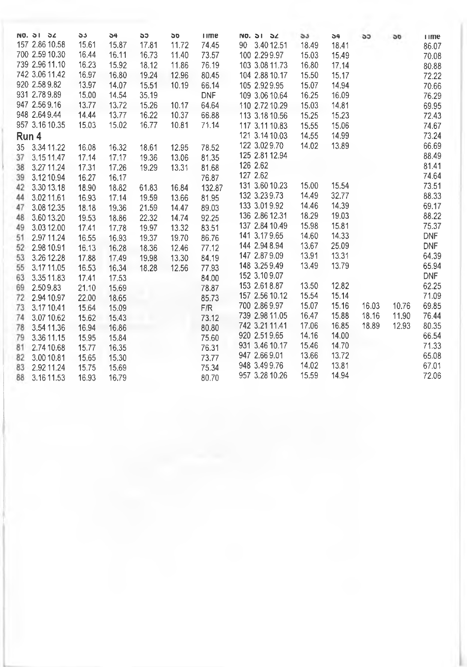|    | NO. 31 34      | 55    | 54    | 55    | <b>DD</b> | <b>I</b> Ime | $NO.$ $O1$ $O2$  | 55    | 54    | <b>SJ</b> | 50    | <b>ume</b> |
|----|----------------|-------|-------|-------|-----------|--------------|------------------|-------|-------|-----------|-------|------------|
|    | 157 2.86 10.58 | 15.61 | 15.87 | 17.81 | 11.72     | 74.45        | 90<br>3.40 12.51 | 18.49 | 18.41 |           |       | 86.07      |
|    | 700 2.59 10.30 | 16.44 | 16.11 | 16.73 | 11.40     | 73.57        | 100 2.29 9.97    | 15.03 | 15.49 |           |       | 70.08      |
|    | 739 2.96 11.10 | 16.23 | 15.92 | 18.12 | 11.86     | 76.19        | 103 3.08 11.73   | 16.80 | 17.14 |           |       | 80.88      |
|    | 742 3.06 11.42 | 16.97 | 16.80 | 19.24 | 12.96     | 80.45        | 104 2.88 10.17   | 15.50 | 15.17 |           |       | 72.22      |
|    | 920 2.58 9.82  | 13.97 | 14.07 | 15.51 | 10.19     | 66.14        | 105 2.92 9.95    | 15.07 | 14.94 |           |       | 70.66      |
|    | 931 2.78 9.89  | 15.00 | 14.54 | 35.19 |           | <b>DNF</b>   | 109 3.06 10.64   | 16.25 | 16.09 |           |       | 76.29      |
|    | 947 2.56 9.16  | 13.77 | 13.72 | 15.26 | 10.17     | 64.64        | 110 2.72 10.29   | 15.03 | 14.81 |           |       | 69.95      |
|    | 948 2.64 9.44  | 14.44 | 13.77 | 16.22 | 10.37     | 66.88        | 113 3.18 10.56   | 15.25 | 15.23 |           |       | 72.43      |
|    | 957 3.16 10.35 | 15.03 | 15.02 | 16.77 | 10.81     | 71.14        | 117 3.11 10.83   | 15.55 | 15.06 |           |       | 74.67      |
|    | Run 4          |       |       |       |           |              | 121 3.14 10.03   | 14.55 | 14.99 |           |       | 73.24      |
| 35 | 3.34 11.22     | 16.08 | 16.32 | 18.61 | 12.95     | 78.52        | 122 3.02 9.70    | 14.02 | 13.89 |           |       | 66.69      |
| 37 | 3.1511.47      | 17.14 | 17.17 | 19.36 | 13.06     | 81,35        | 125 2.81 12.94   |       |       |           |       | 88.49      |
| 38 | 3.27 11.24     | 17.31 | 17.26 | 19.29 | 13.31     | 81.68        | 126 2.62         |       |       |           |       | 81.41      |
| 39 | 3.12 10.94     | 16.27 | 16.17 |       |           | 76.87        | 127 2.62         |       |       |           |       | 74.64      |
| 42 | 3.30 13.18     | 18.90 | 18.82 | 61.83 | 16.84     | 132.87       | 131 3.60 10.23   | 15.00 | 15.54 |           |       | 73.51      |
| 44 | 3.0211.61      | 16.93 | 17.14 | 19.59 | 13.66     | 81.95        | 132 3.23 9.73    | 14.49 | 32.77 |           |       | 88.33      |
| 47 | 3.08 12.35     | 18.18 | 19.36 | 21.59 | 14.47     | 89.03        | 133 3.01 9.92    | 14.46 | 14.39 |           |       | 69.17      |
| 48 | 3.60 13.20     | 19.53 | 18.86 | 22.32 | 14.74     | 92.25        | 136 2.86 12.31   | 18.29 | 19.03 |           |       | 88.22      |
| 49 | 3.03 12.00     | 17.41 | 17.78 | 19.97 | 13.32     | 83.51        | 137 2.84 10.49   | 15.98 | 15.81 |           |       | 75.37      |
| 51 | 2.97 11.24     | 16.55 | 16.93 | 19.37 | 19.70     | 86.76        | 141 3.17 9.65    | 14.60 | 14.33 |           |       | <b>DNF</b> |
| 52 | 2.98 10.91     | 16.13 | 16.28 | 18.36 | 12.46     | 77.12        | 144 2.94 8.94    | 13,67 | 25.09 |           |       | <b>DNF</b> |
| 53 | 3.26 12.28     | 17.88 | 17.49 | 19.98 | 13.30     | 84.19        | 147 2.87 9.09    | 13.91 | 13.31 |           |       | 64.39      |
| 55 | 3.1711.05      | 16.53 | 16.34 | 18.28 | 12.56     | 77.93        | 148 3.25 9.49    | 13.49 | 13.79 |           |       | 65.94      |
| 63 | 3.3511.83      | 17.41 | 17.53 |       |           | 84.00        | 152 3.10 9.07    |       |       |           |       | <b>DNF</b> |
| 69 | 2.509.83       | 21.10 | 15.69 |       |           | 78.87        | 153 2.61 8.87    | 13.50 | 12.82 |           |       | 62.25      |
| 72 | 2.94 10.97     | 22.00 | 18.65 |       |           | 85.73        | 157 2.56 10.12   | 15.54 | 15.14 |           |       | 71.09      |
| 73 | 3.1710.41      | 15.64 | 15.09 |       |           | F/R          | 700 2.86 9.97    | 15.07 | 15.16 | 16.03     | 10.76 | 69.85      |
| 74 | 3.0710.62      | 15.62 | 15,43 |       |           | 73.12        | 739 2.98 11.05   | 16.47 | 15.88 | 18.16     | 11.90 | 76.44      |
| 78 | 3.54 11.36     | 16.94 | 16.86 |       |           | 80.80        | 742 3.21 11.41   | 17.06 | 16.85 | 18.89     | 12.93 | 80.35      |
| 79 | 3.36 11.15     | 15.95 | 15.84 |       |           | 75.60        | 920 2.51 9.65    | 14.16 | 14.00 |           |       | 66.54      |
| 81 | 2.74 10.68     | 15,77 | 16.35 |       |           | 76.31        | 931 3.46 10.17   | 15.46 | 14.70 |           |       | 71.33      |
| 82 | 3.00 10.81     | 15.65 | 15.30 |       |           | 73.77        | 947 2.66 9.01    | 13.66 | 13.72 |           |       | 65.08      |
| 83 | 2.92 11.24     | 15.75 | 15.69 |       |           | 75.34        | 948 3.49 9.76    | 14.02 | 13.81 |           |       | 67.01      |
| 88 | 3.16 11.53     | 16.93 | 16.79 |       |           | 80.70        | 957 3.28 10.26   | 15,59 | 14.94 |           |       | 72.06      |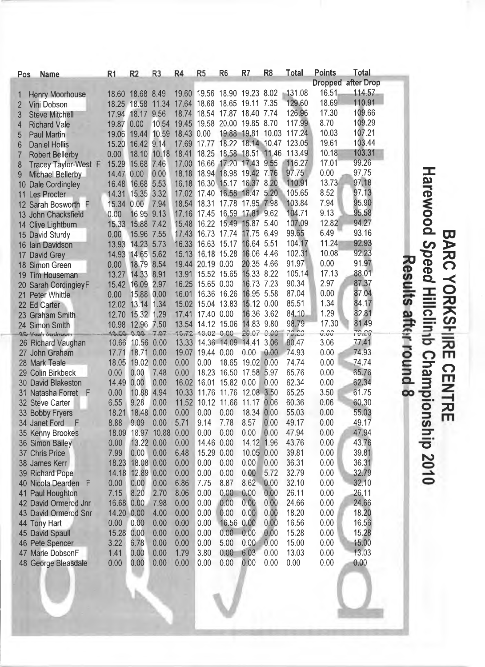| Pos               | <b>Name</b>            | R1         | R <sub>2</sub>   | R <sub>3</sub>   | R4         | R <sub>5</sub>   | R <sub>6</sub>    | R <sub>7</sub>                                 | R <sub>8</sub> | <b>Total</b>             | <b>Points</b> | <b>Total</b>              |             |
|-------------------|------------------------|------------|------------------|------------------|------------|------------------|-------------------|------------------------------------------------|----------------|--------------------------|---------------|---------------------------|-------------|
|                   |                        |            |                  |                  |            |                  |                   |                                                |                |                          |               | <b>Dropped after Drop</b> |             |
|                   | <b>Henry Moorhouse</b> |            | 18.60 18.68 8.49 |                  |            |                  |                   | 19.60 19.56 18.90 19.23 8.02                   |                | 131.08                   | 16.51         | 114.57                    |             |
|                   | Vini Dobson            |            |                  |                  |            |                  |                   | 18.25 18.58 11.34 17.64 18.68 18.65 19.11 7.35 |                | 129.60                   | 18.69         | 110.91                    |             |
| 3                 | <b>Steve Mitchell</b>  | 17.94      | 18.17 9.56       |                  |            |                  |                   | 18.74 18.54 17.87 18.40 7.74                   |                | 126.96                   | 17.30         | 109.66                    |             |
| 4                 | <b>Richard Vale</b>    | 19.87      | 0.00             | 10.54            |            |                  |                   | 19.45 19.58 20.00 19.85 8.70                   |                | 117.99                   | 8.70          | 109.29                    |             |
| 5                 | <b>Paul Martin</b>     | 19.06      | 19.44            | 10.59            | 18.43 0.00 |                  |                   |                                                |                | 19.88 19.81 10.03 117.24 | 10.03         | 107.21                    |             |
| 6                 | <b>Daniel Hollis</b>   | 15.20      | 16.42 9.14       |                  |            | 17.69 17.77      |                   |                                                |                | 18.22 18.14 10.47 123.05 | 19.61         | 103.44                    |             |
|                   | <b>Robert Bellerby</b> | 0.00       | 18.10            | 10.18            |            | 18.41 18.25      |                   | 18.58 18.51 11.46                              |                | 113.49                   | 10.18         | 103.31                    |             |
| 8                 | Tracey Taylor-West F   | 15.29      | 15.68            | 7.46             |            | 17.00 16.66      | 17.20             | 17.43 9.55                                     |                | 116.27                   | 17.01         | 99.26                     |             |
| 9                 | Michael Bellerby       | 14.47      | 0.00             | 0.00             |            |                  |                   | 18.18 18.94 18.98 19.42 7.76                   |                | 97.75                    | 0.00          | 97.75                     |             |
| 10                | Dale Cordingley        | 16.48      | 16.68 5.53       |                  |            |                  | 16.18 16.30 15.17 | 16.37 8.20                                     |                | 110.91                   | 13.73         | 97.18                     |             |
| 11                | Les Procter            |            | 14.31 15.35 3.32 |                  |            | 17.02 17.40      |                   | 16.58 16.47 5.20                               |                | 105.65                   | 8.52          | 97.13                     |             |
| $12 \overline{ }$ | Sarah Bosworth F       | 15.34      | 0.00             | 7.94             |            | 18.54 18.31      |                   | 17.78 17.95 7.98                               |                | 103.84                   | 7.94          | 95.90                     |             |
| 13                | John Chacksfield       | 0.00       | 16.95 9.13       |                  | 17.16      |                  |                   | 17.45 16.59 17.81 9.62                         |                | 104.71                   | 9.13          | 95.58                     |             |
| 14                | <b>Clive Lightburn</b> | 15.33      | 15.88            | 7.42             | 15.48      |                  |                   | 16.22 15.49 15.87 5.40                         |                | 107.09                   | 12.82         | 94.27                     |             |
| 15                | David Sturdy           | 0.00       | 15.96            | 7.55             | 17.43      |                  | 16.73 17.74       | 17.75                                          | 6.49           | 99.65                    | 6.49          | 93.16                     |             |
| 16                | lain Davidson          | 13.93      | 14.23            | 5.73             |            |                  | 16.33 16.63 15.17 | 16.64 5.51                                     |                | 104.17                   | 11.24         | 92.93                     |             |
| 17                | David Grey             | 14.93      | 14.65            | 5.62             | 15.13      |                  | 16.18 15.28       | 16.06 4.46                                     |                | 102.31                   | 10.08         | 92.23                     |             |
| 18                | Simon Green            | 0.00       | 18.79 8.54       |                  |            | 19.44 20.19 0.00 |                   | 20.35 4.66                                     |                | 91.97                    | 0.00          | 91.97                     | Ā           |
| 19                | <b>Tim Houseman</b>    | 13.27      | 14.33 8.91       |                  | 13.91      |                  | 15.52 15.65       | 15.33 8.22                                     |                | 105.14                   | 17.13         | 88.01                     |             |
| 20                | Sarah CordingieyF      | 15.42      | 16.09            | 2.97             |            | 16.25 15.65 0.00 |                   | 16.73 7.23                                     |                | 90.34                    | 2.97          | 87.37                     |             |
| 21                | <b>Peter Whittle</b>   | 0.00       | 15.88            | 0.00             | 16.01      |                  | 16.36 16.26       | 16.95 5.58                                     |                | 87.04                    | 0.00          | 87.04                     |             |
| 22                | <b>Ed Carter</b>       | 12.02      | 13.14 1.34       |                  | 15.02      |                  | 15.04 13.83       | 15.12 0.00                                     |                | 85.51                    | 1.34          | 84.17                     | esults      |
| 23                | <b>Graham Smith</b>    | 12.70      | 15.32            | 1.29             | 17.41      | 17.40 0.00       |                   | 16.36                                          | 3.62           | 84.10                    | 1.29          | 82.81                     |             |
|                   | 24 Simon Smith         | 10.98      | 12.96            | 7.50             |            |                  | 13.54 14.12 15.06 | 14.83                                          | 9.80           | 98.79                    | 17.30         | 81.49                     |             |
|                   | 25 Year's Seitherun    | 10.50 0.00 |                  | 7.07             |            | 40.72 10.02 0.00 |                   | 29.07 0.00                                     |                | 72.20                    | 0.00          | 70.29                     | after round |
|                   | 26 Richard Vaughan     | 10.66      | 10.56            | 0.00             | 13.33      |                  | 14.36 14.09       | 14.41                                          | 3.06           | 80.47                    | 3.06          | 77.41                     |             |
| 27                | John Graham            | 17.71      | 18.71            | 0.00             | 19.07      | 19.44 0.00       |                   | 0.00                                           | 0.00           | 74.93                    | 0.00          | 74.93                     |             |
| 28                | <b>Mark Teale</b>      | 18.05      | 19.02            | 0.00             | 0.00       | 0.00             | 18.65             | 19.02                                          | 0.00           | 74.74                    | 0.00          | 74.74                     |             |
| 29                | <b>Colin Birkbeck</b>  | 0.00       | 0.00             | 7.48             | 0.00       | 18.23            | 16.50             | 17.58 5.97                                     |                | 65.76                    | 0.00          | 65.76                     |             |
|                   | 30 David Blakeston     | 14.49      | 0.00             | 0.00             | 16.02      | 16.01            | 15.82 0.00        |                                                | 0.00           | 62.34                    | 0.00          | 62.34                     |             |
| 31                | Natasha Forret<br>-F   | 0.00       | 10.88            | 4.94             | 10.33      | 11.76            | 11.76             | 12.08 3.50                                     |                | 65.25                    | 3.50          | 61.75                     | œ           |
|                   | 32 Steve Carter        | 6.55       | 9.28             | 0.00             | 11.52      |                  | 10.12 11.66       | 11.17 0.06                                     |                | 60.36                    | 0.06          | 60.30                     |             |
|                   | 33 Bobby Fryers        | 18.21      | 18.48            | 0.00             | 0.00       | 0.00             | 0.00              | 18.34 0.00                                     |                | 55.03                    | 0.00          | 55.03                     |             |
|                   | 34 Janet Ford F        | 8.88       | 9.09             | 0.00             | 5.71       | 9.14             | 7.78              | 8.57 0.00                                      |                | 49.17                    | 0.00          | 49.17                     |             |
|                   | 35 Kenny Brookes       | 18.09      |                  | 18.97 10.88 0.00 |            | 0.00             | 0.00              | 0.00                                           | 0.00           | 47.94                    | 0.00          | 47.94                     |             |
|                   | 36 Simon Bailey        | 0.00       | 13.22 0.00       |                  | 0.00       | 14.46 0.00       |                   | 14.12 1.96                                     |                | 43.76                    | 0.00          | 43.76                     |             |
|                   | 37 Chris Price         | 7.99       | 0.00             | 0.00             | 6.48       | 15.29 0.00       |                   | 10.05 0.00                                     |                | 39.81                    | 0.00          | 39.81                     |             |
|                   | 38 James Kerr          | 18.23      | 18.08 0.00       |                  | 0.00       | 0.00             | 0.00              | 0.00                                           | 0.00           | 36.31                    | 0.00          | 36.31                     |             |
|                   | 39 Richard Pope        | 14.18      | 12.89 0.00       |                  | 0.00       | 0.00             | 0.00              | 0.00                                           | 5.72           | 32.79                    | 0.00          | 32.79                     |             |
|                   | 40 Nicola Dearden F    | 0.00       | 0.00             | 0.00             | 6.86       | 7.75             | 8.87              | 8.62                                           | 0.00           | 32.10                    | 0.00          | 32.10                     |             |
| 41                | Paul Houghton          | 7.15       | 8.20             | 2.70             | 8.06       | 0.00             | 0.00              | 0.00                                           | 0.00           | 26.11                    | 0.00          | 26.11                     |             |
|                   | 42 David Ormerod Jnr   | 16.68 0.00 |                  | 7.98             | 0.00       | 0.00             | 0.00              | 0.00                                           | 0.00           | 24.66                    | 0.00          | 24.66                     |             |
|                   | 43 David Ormerod Snr   | 14.20 0.00 |                  | 4.00             | 0.00       | 0.00             | 0.00              | 0.00                                           | 0.00           | 18.20                    | 0.00          | 18.20                     |             |
|                   | 44 Tony Hart           | 0.00       | 0.00             | 0.00             | 0.00       | 0.00             | 16.56             | 0.00                                           | 0.00           | 16.56                    | 0.00          | 16.56                     |             |
|                   | 45 David Spaull        | 15.28      | 0.00             | 0.00             | 0.00       | 0.00             | 0.00              | 0.00                                           | 0.00           | 15.28                    | 0.00          | 15.28                     |             |
|                   | 46 Pete Spencer        | 3.22       | 6.78             | 0.00             | 0.00       | 0.00             | 5.00              | 0.00                                           | 0.00           | 15.00                    | 0.00          | 15.00                     |             |
|                   | 47 Marie DobsonF       | 1.41       | 0.00             | 0.00             | 1.79       | 3.80             | 0.00              | 6.03                                           | 0.00           | 13.03                    | 0.00          | 13.03                     |             |
|                   | 48 George Bleasdale    | 0.00       | 0.00             | 0.00             | 0.00       | 0.00             | 0.00              | 0.00                                           | 0.00           | 0.00                     | 0.00          | 0.00                      |             |

a ) *CO* **o o** Q .  $\overline{Q}$  $\widetilde{\Phi}$  $\overline{\phantom{a}}$ **o CD** >  $\Delta$ **O** - < O **7s**  $\overline{a}$ — Q J \_ S= 3 - **o Q. g m**  $\geq$   $\lambda$ -**T3** r o

*z n*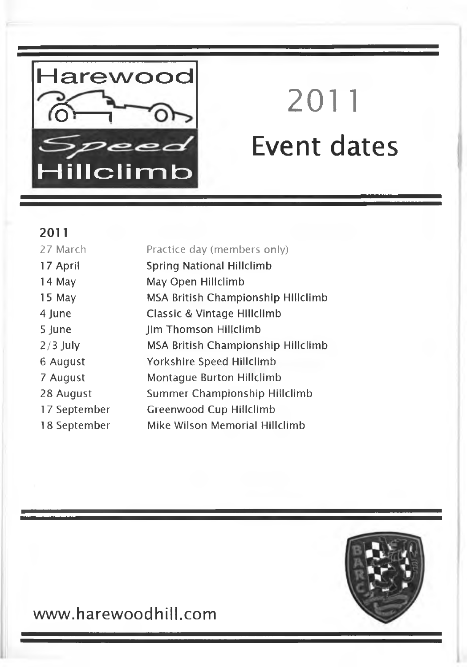

# 2011 **Event dates**

#### **2011**

| 27 March     | Practice day (members only)        |
|--------------|------------------------------------|
| 17 April     | Spring National Hillclimb          |
| 14 May       | May Open Hillclimb                 |
| 15 May       | MSA British Championship Hillclimb |
| 4 June       | Classic & Vintage Hillclimb        |
| 5 June       | <b>Jim Thomson Hillclimb</b>       |
| $2/3$ July   | MSA British Championship Hillclimb |
| 6 August     | Yorkshire Speed Hillclimb          |
| 7 August     | Montague Burton Hillclimb          |
| 28 August    | Summer Championship Hillclimb      |
| 17 September | <b>Greenwood Cup Hillclimb</b>     |
| 18 September | Mike Wilson Memorial Hillclimb     |



### **[www.harewoodhill.com](http://www.harewoodhill.com)**